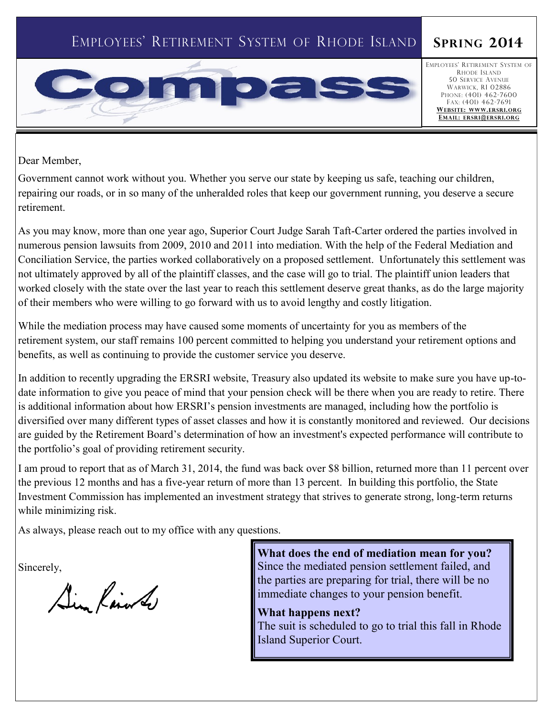# EMPLOYEES' RETIREMENT SYSTEM OF RHODE ISLAND **SPRING 2014**



EMPLOYEES' RETIREMENT SYSTEM OF RHODE ISLAND 50 SERVICE AVENUE WARWICK, RI 02886 PHONE: (401) 462-7600 FAX: (401) 462-7691 **WEBSITE: WWW.ERSRI.ORG EMAIL: ERSRI@ERSRI.ORG**

Dear Member,

Government cannot work without you. Whether you serve our state by keeping us safe, teaching our children, repairing our roads, or in so many of the unheralded roles that keep our government running, you deserve a secure retirement.

As you may know, more than one year ago, Superior Court Judge Sarah Taft-Carter ordered the parties involved in numerous pension lawsuits from 2009, 2010 and 2011 into mediation. With the help of the Federal Mediation and Conciliation Service, the parties worked collaboratively on a proposed settlement. Unfortunately this settlement was not ultimately approved by all of the plaintiff classes, and the case will go to trial. The plaintiff union leaders that worked closely with the state over the last year to reach this settlement deserve great thanks, as do the large majority of their members who were willing to go forward with us to avoid lengthy and costly litigation.

While the mediation process may have caused some moments of uncertainty for you as members of the retirement system, our staff remains 100 percent committed to helping you understand your retirement options and benefits, as well as continuing to provide the customer service you deserve.

In addition to recently upgrading the ERSRI website, Treasury also updated its website to make sure you have up-todate information to give you peace of mind that your pension check will be there when you are ready to retire. There is additional information about how ERSRI's pension investments are managed, including how the portfolio is diversified over many different types of asset classes and how it is constantly monitored and reviewed. Our decisions are guided by the Retirement Board's determination of how an investment's expected performance will contribute to the portfolio's goal of providing retirement security.

I am proud to report that as of March 31, 2014, the fund was back over \$8 billion, returned more than 11 percent over the previous 12 months and has a five-year return of more than 13 percent. In building this portfolio, the State Investment Commission has implemented an investment strategy that strives to generate strong, long-term returns while minimizing risk.

As always, please reach out to my office with any questions.

Sincerely,

Sin Rain to

**What does the end of mediation mean for you?**  Since the mediated pension settlement failed, and the parties are preparing for trial, there will be no immediate changes to your pension benefit.

**What happens next?**  The suit is scheduled to go to trial this fall in Rhode Island Superior Court.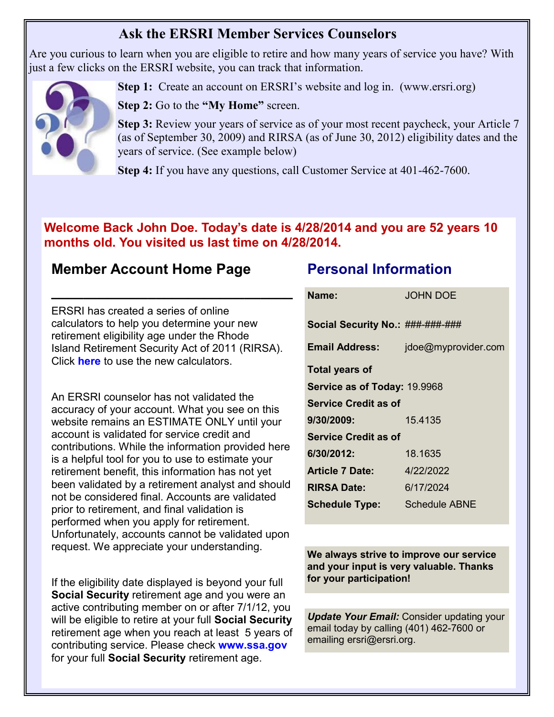## **Ask the ERSRI Member Services Counselors**

Are you curious to learn when you are eligible to retire and how many years of service you have? With just a few clicks on the ERSRI website, you can track that information.



**Step 1:** Create an account on ERSRI's website and log in. (www.ersri.org)

**Step 2:** Go to the **"My Home"** screen.

**Step 3:** Review your years of service as of your most recent paycheck, your Article 7 (as of September 30, 2009) and RIRSA (as of June 30, 2012) eligibility dates and the years of service. (See example below)

**Step 4:** If you have any questions, call Customer Service at 401-462-7600.

## **Welcome Back John Doe. Today's date is 4/28/2014 and you are 52 years 10 months old. You visited us last time on 4/28/2014.**

## **Member Account Home Page**

ERSRI has created a series of online calculators to help you determine your new retirement eligibility age under the Rhode Island Retirement Security Act of 2011 (RIRSA). Click **here** to use the new calculators.

**\_\_\_\_\_\_\_\_\_\_\_\_\_\_\_\_\_\_\_\_\_\_\_\_\_\_\_\_\_\_**

An ERSRI counselor has not validated the accuracy of your account. What you see on this website remains an ESTIMATE ONLY until your account is validated for service credit and contributions. While the information provided here is a helpful tool for you to use to estimate your retirement benefit, this information has not yet been validated by a retirement analyst and should not be considered final. Accounts are validated prior to retirement, and final validation is performed when you apply for retirement. Unfortunately, accounts cannot be validated upon request. We appreciate your understanding.

If the eligibility date displayed is beyond your full **Social Security** retirement age and you were an active contributing member on or after 7/1/12, you will be eligible to retire at your full **Social Security**  retirement age when you reach at least 5 years of contributing service. Please check **www.ssa.gov**  for your full **Social Security** retirement age.

## **Personal Information**

| Name:                            | <b>JOHN DOE</b>      |  |  |
|----------------------------------|----------------------|--|--|
| Social Security No.: ###-###-### |                      |  |  |
| <b>Email Address:</b>            | jdoe@myprovider.com  |  |  |
| <b>Total years of</b>            |                      |  |  |
| Service as of Today: 19.9968     |                      |  |  |
| <b>Service Credit as of</b>      |                      |  |  |
| 9/30/2009:                       | 15.4135              |  |  |
| <b>Service Credit as of</b>      |                      |  |  |
| 6/30/2012:                       | 18.1635              |  |  |
| <b>Article 7 Date:</b>           | 4/22/2022            |  |  |
| <b>RIRSA Date:</b>               | 6/17/2024            |  |  |
| <b>Schedule Type:</b>            | <b>Schedule ABNE</b> |  |  |

**We always strive to improve our service and your input is very valuable. Thanks for your participation!** 

*Update Your Email: Consider updating your* email today by calling (401) 462-7600 or emailing ersri@ersri.org.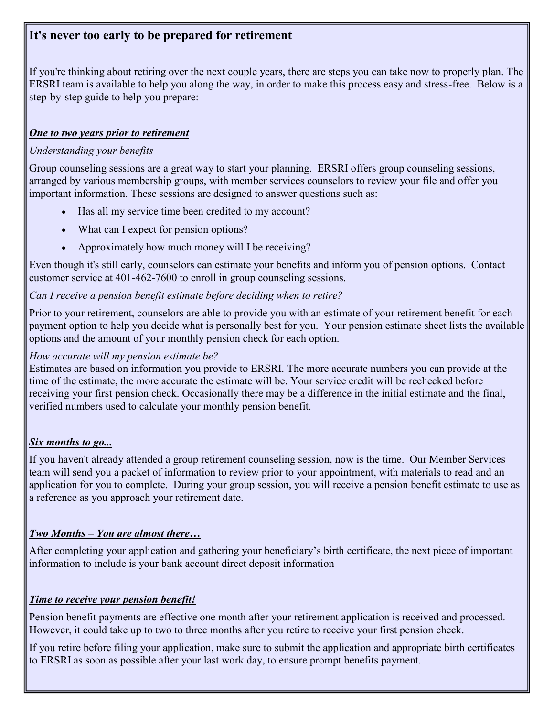## **It's never too early to be prepared for retirement**

If you're thinking about retiring over the next couple years, there are steps you can take now to properly plan. The ERSRI team is available to help you along the way, in order to make this process easy and stress-free. Below is a step-by-step guide to help you prepare:

#### *One to two years prior to retirement*

### *Understanding your benefits*

Group counseling sessions are a great way to start your planning. ERSRI offers group counseling sessions, arranged by various membership groups, with member services counselors to review your file and offer you important information. These sessions are designed to answer questions such as:

- Has all my service time been credited to my account?
- What can I expect for pension options?
- Approximately how much money will I be receiving?

Even though it's still early, counselors can estimate your benefits and inform you of pension options. Contact customer service at 401-462-7600 to enroll in group counseling sessions.

#### *Can I receive a pension benefit estimate before deciding when to retire?*

Prior to your retirement, counselors are able to provide you with an estimate of your retirement benefit for each payment option to help you decide what is personally best for you. Your pension estimate sheet lists the available options and the amount of your monthly pension check for each option.

#### *How accurate will my pension estimate be?*

Estimates are based on information you provide to ERSRI. The more accurate numbers you can provide at the time of the estimate, the more accurate the estimate will be. Your service credit will be rechecked before receiving your first pension check. Occasionally there may be a difference in the initial estimate and the final, verified numbers used to calculate your monthly pension benefit.

### *Six months to go...*

If you haven't already attended a group retirement counseling session, now is the time. Our Member Services team will send you a packet of information to review prior to your appointment, with materials to read and an application for you to complete. During your group session, you will receive a pension benefit estimate to use as a reference as you approach your retirement date.

### *Two Months – You are almost there…*

After completing your application and gathering your beneficiary's birth certificate, the next piece of important information to include is your bank account direct deposit information

### *Time to receive your pension benefit!*

Pension benefit payments are effective one month after your retirement application is received and processed. However, it could take up to two to three months after you retire to receive your first pension check.

If you retire before filing your application, make sure to submit the application and appropriate birth certificates to ERSRI as soon as possible after your last work day, to ensure prompt benefits payment.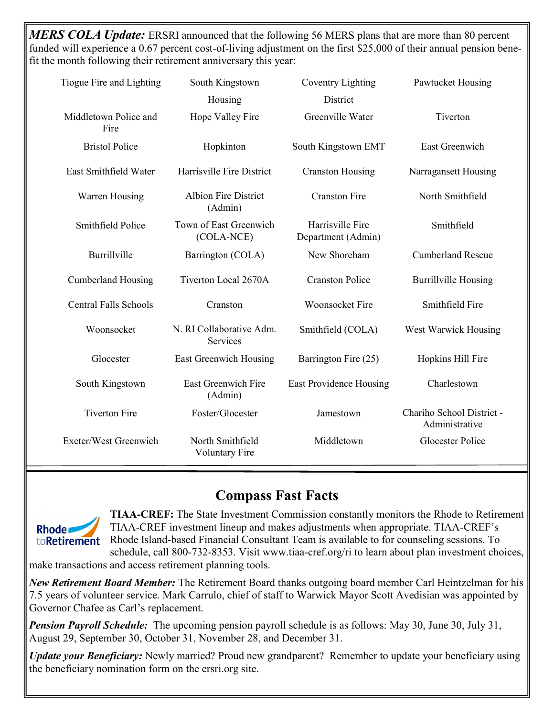*MERS COLA Update:* ERSRI announced that the following 56 MERS plans that are more than 80 percent funded will experience a 0.67 percent cost-of-living adjustment on the first \$25,000 of their annual pension benefit the month following their retirement anniversary this year:

| Tiogue Fire and Lighting      | South Kingstown                           | <b>Coventry Lighting</b>               | Pawtucket Housing                           |
|-------------------------------|-------------------------------------------|----------------------------------------|---------------------------------------------|
|                               | Housing                                   | District                               |                                             |
| Middletown Police and<br>Fire | Hope Valley Fire                          | Greenville Water                       | Tiverton                                    |
| <b>Bristol Police</b>         | Hopkinton                                 | South Kingstown EMT                    | <b>East Greenwich</b>                       |
| East Smithfield Water         | Harrisville Fire District                 | <b>Cranston Housing</b>                | Narragansett Housing                        |
| Warren Housing                | <b>Albion Fire District</b><br>(Admin)    | <b>Cranston Fire</b>                   | North Smithfield                            |
| Smithfield Police             | Town of East Greenwich<br>(COLA-NCE)      | Harrisville Fire<br>Department (Admin) | Smithfield                                  |
| Burrillville                  | Barrington (COLA)                         | New Shoreham                           | <b>Cumberland Rescue</b>                    |
| <b>Cumberland Housing</b>     | Tiverton Local 2670A                      | <b>Cranston Police</b>                 | <b>Burrillville Housing</b>                 |
| <b>Central Falls Schools</b>  | Cranston                                  | <b>Woonsocket Fire</b>                 | Smithfield Fire                             |
| Woonsocket                    | N. RI Collaborative Adm.<br>Services      | Smithfield (COLA)                      | West Warwick Housing                        |
| Glocester                     | <b>East Greenwich Housing</b>             | Barrington Fire (25)                   | Hopkins Hill Fire                           |
| South Kingstown               | East Greenwich Fire<br>(Admin)            | East Providence Housing                | Charlestown                                 |
| <b>Tiverton Fire</b>          | Foster/Glocester                          | Jamestown                              | Chariho School District -<br>Administrative |
| Exeter/West Greenwich         | North Smithfield<br><b>Voluntary Fire</b> | Middletown                             | <b>Glocester Police</b>                     |

# **Compass Fast Facts**



**TIAA-CREF:** The State Investment Commission constantly monitors the Rhode to Retirement TIAA-CREF investment lineup and makes adjustments when appropriate. TIAA-CREF's Rhode Island-based Financial Consultant Team is available to for counseling sessions. To schedule, call 800-732-8353. Visit www.tiaa-cref.org/ri to learn about plan investment choices,

make transactions and access retirement planning tools.

*New Retirement Board Member:* The Retirement Board thanks outgoing board member Carl Heintzelman for his 7.5 years of volunteer service. Mark Carrulo, chief of staff to Warwick Mayor Scott Avedisian was appointed by Governor Chafee as Carl's replacement.

*Pension Payroll Schedule:* The upcoming pension payroll schedule is as follows: May 30, June 30, July 31, August 29, September 30, October 31, November 28, and December 31.

*Update your Beneficiary:* Newly married? Proud new grandparent? Remember to update your beneficiary using the beneficiary nomination form on the ersri.org site.